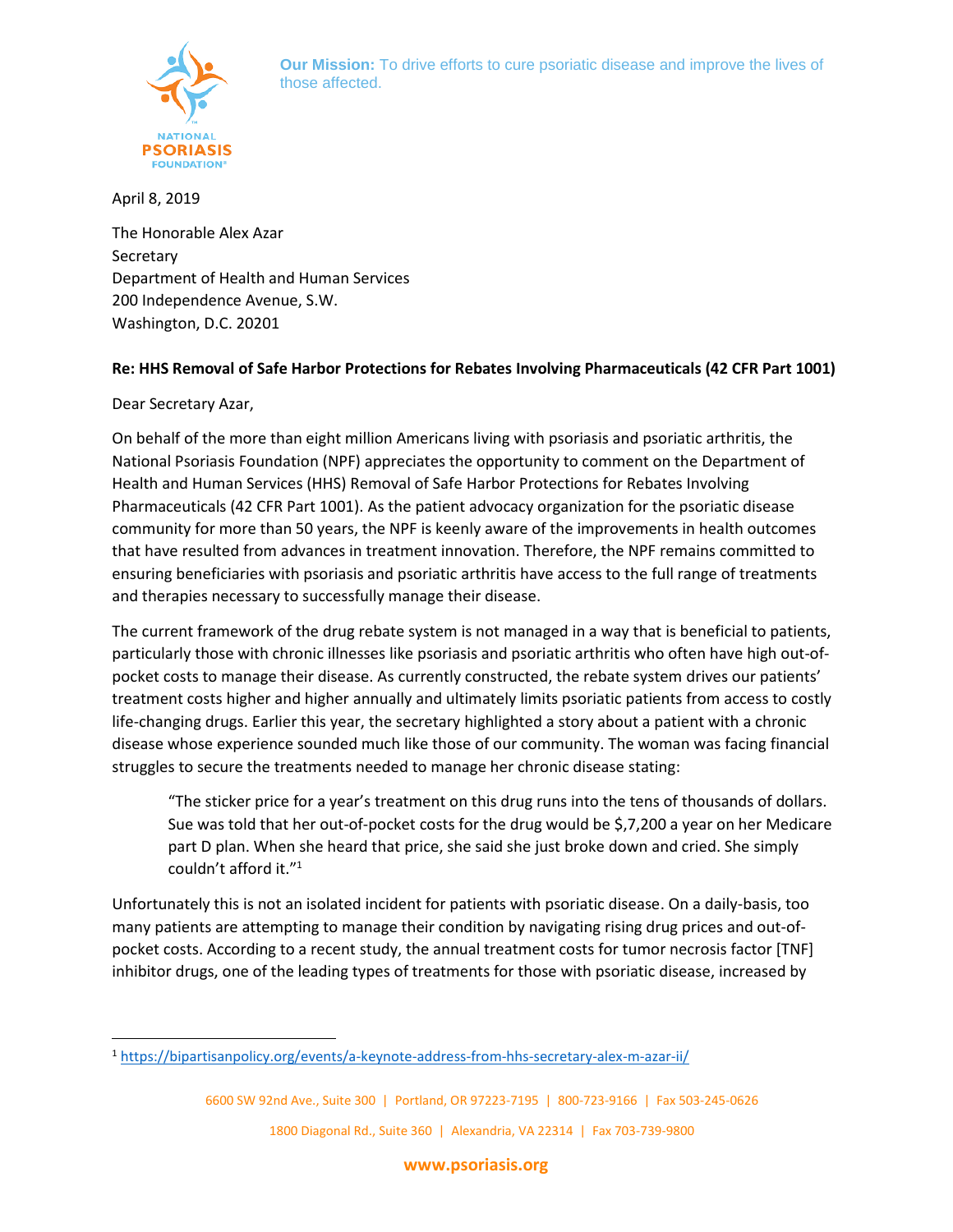

**Our Mission:** To drive efforts to cure psoriatic disease and improve the lives of those affected.

April 8, 2019

The Honorable Alex Azar **Secretary** Department of Health and Human Services 200 Independence Avenue, S.W. Washington, D.C. 20201

# **Re: HHS Removal of Safe Harbor Protections for Rebates Involving Pharmaceuticals (42 CFR Part 1001)**

Dear Secretary Azar,

 $\overline{a}$ 

On behalf of the more than eight million Americans living with psoriasis and psoriatic arthritis, the National Psoriasis Foundation (NPF) appreciates the opportunity to comment on the Department of Health and Human Services (HHS) Removal of Safe Harbor Protections for Rebates Involving Pharmaceuticals (42 CFR Part 1001). As the patient advocacy organization for the psoriatic disease community for more than 50 years, the NPF is keenly aware of the improvements in health outcomes that have resulted from advances in treatment innovation. Therefore, the NPF remains committed to ensuring beneficiaries with psoriasis and psoriatic arthritis have access to the full range of treatments and therapies necessary to successfully manage their disease.

The current framework of the drug rebate system is not managed in a way that is beneficial to patients, particularly those with chronic illnesses like psoriasis and psoriatic arthritis who often have high out-ofpocket costs to manage their disease. As currently constructed, the rebate system drives our patients' treatment costs higher and higher annually and ultimately limits psoriatic patients from access to costly life-changing drugs. Earlier this year, the secretary highlighted a story about a patient with a chronic disease whose experience sounded much like those of our community. The woman was facing financial struggles to secure the treatments needed to manage her chronic disease stating:

"The sticker price for a year's treatment on this drug runs into the tens of thousands of dollars. Sue was told that her out-of-pocket costs for the drug would be \$,7,200 a year on her Medicare part D plan. When she heard that price, she said she just broke down and cried. She simply couldn't afford it."<sup>1</sup>

Unfortunately this is not an isolated incident for patients with psoriatic disease. On a daily-basis, too many patients are attempting to manage their condition by navigating rising drug prices and out-ofpocket costs. According to a recent study, the annual treatment costs for tumor necrosis factor [TNF] inhibitor drugs, one of the leading types of treatments for those with psoriatic disease, increased by

<sup>1</sup> <https://bipartisanpolicy.org/events/a-keynote-address-from-hhs-secretary-alex-m-azar-ii/>

<sup>6600</sup> SW 92nd Ave., Suite 300 | Portland, OR 97223-7195 | 800-723-9166 | Fax 503-245-0626 1800 Diagonal Rd., Suite 360 | Alexandria, VA 22314 | Fax 703-739-9800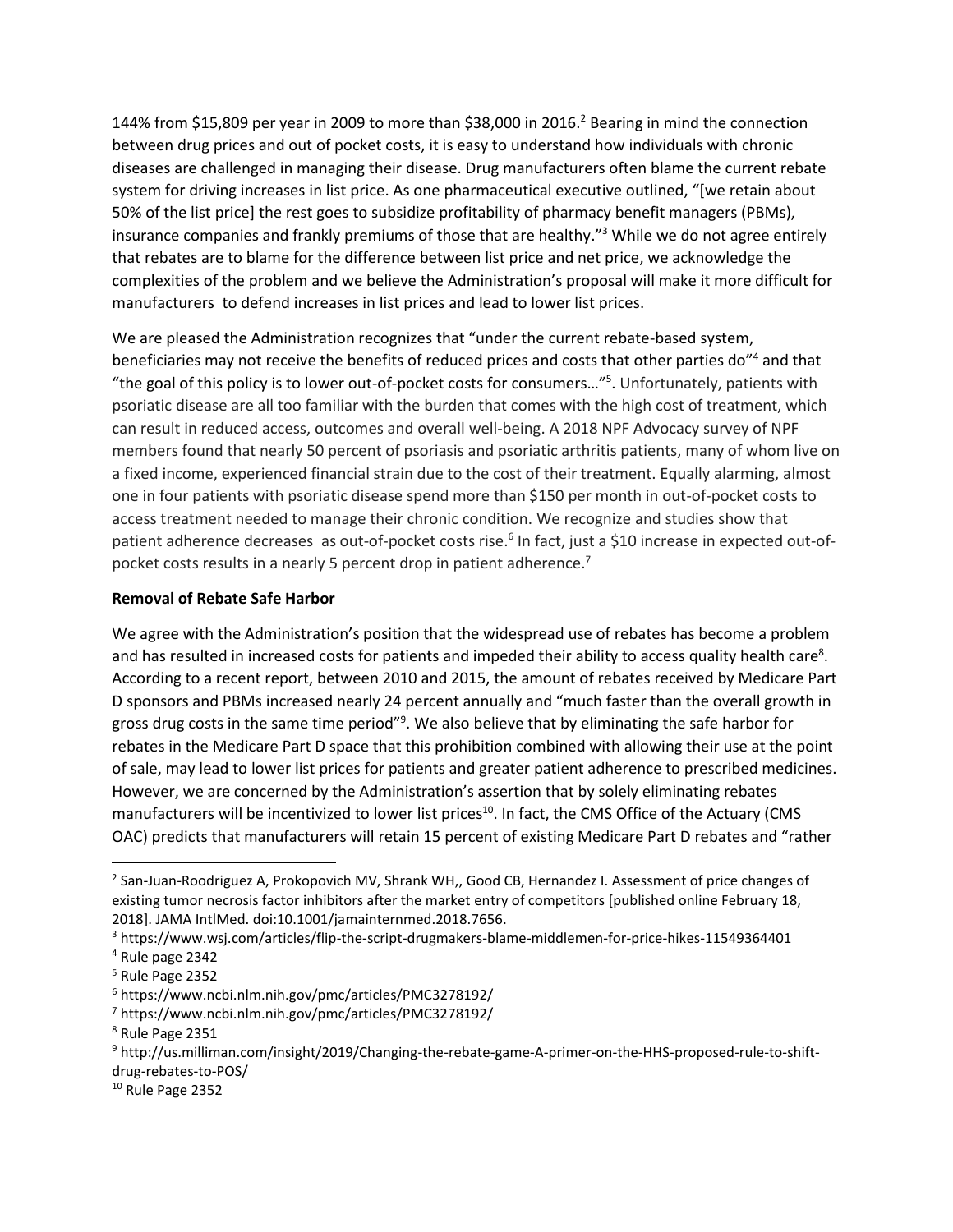144% from \$15,809 per year in 2009 to more than \$38,000 in 2016.<sup>2</sup> Bearing in mind the connection between drug prices and out of pocket costs, it is easy to understand how individuals with chronic diseases are challenged in managing their disease. Drug manufacturers often blame the current rebate system for driving increases in list price. As one pharmaceutical executive outlined, "[we retain about 50% of the list price] the rest goes to subsidize profitability of pharmacy benefit managers (PBMs), insurance companies and frankly premiums of those that are healthy."<sup>3</sup> While we do not agree entirely that rebates are to blame for the difference between list price and net price, we acknowledge the complexities of the problem and we believe the Administration's proposal will make it more difficult for manufacturers to defend increases in list prices and lead to lower list prices.

We are pleased the Administration recognizes that "under the current rebate-based system, beneficiaries may not receive the benefits of reduced prices and costs that other parties do"<sup>4</sup> and that "the goal of this policy is to lower out-of-pocket costs for consumers…"<sup>5</sup> . Unfortunately, patients with psoriatic disease are all too familiar with the burden that comes with the high cost of treatment, which can result in reduced access, outcomes and overall well-being. A 2018 NPF Advocacy survey of NPF members found that nearly 50 percent of psoriasis and psoriatic arthritis patients, many of whom live on a fixed income, experienced financial strain due to the cost of their treatment. Equally alarming, almost one in four patients with psoriatic disease spend more than \$150 per month in out-of-pocket costs to access treatment needed to manage their chronic condition. We recognize and studies show that patient adherence decreases as out-of-pocket costs rise.<sup>6</sup> In fact, just a \$10 increase in expected out-ofpocket costs results in a nearly 5 percent drop in patient adherence.<sup>7</sup>

# **Removal of Rebate Safe Harbor**

We agree with the Administration's position that the widespread use of rebates has become a problem and has resulted in increased costs for patients and impeded their ability to access quality health care<sup>8</sup>. According to a recent report, between 2010 and 2015, the amount of rebates received by Medicare Part D sponsors and PBMs increased nearly 24 percent annually and "much faster than the overall growth in gross drug costs in the same time period"<sup>9</sup>. We also believe that by eliminating the safe harbor for rebates in the Medicare Part D space that this prohibition combined with allowing their use at the point of sale, may lead to lower list prices for patients and greater patient adherence to prescribed medicines. However, we are concerned by the Administration's assertion that by solely eliminating rebates manufacturers will be incentivized to lower list prices<sup>10</sup>. In fact, the CMS Office of the Actuary (CMS OAC) predicts that manufacturers will retain 15 percent of existing Medicare Part D rebates and "rather

 $\overline{\phantom{a}}$ 

<sup>&</sup>lt;sup>2</sup> San-Juan-Roodriguez A, Prokopovich MV, Shrank WH,, Good CB, Hernandez I. Assessment of price changes of existing tumor necrosis factor inhibitors after the market entry of competitors [published online February 18, 2018]. JAMA IntlMed. doi:10.1001/jamainternmed.2018.7656.

<sup>3</sup> https://www.wsj.com/articles/flip-the-script-drugmakers-blame-middlemen-for-price-hikes-11549364401

<sup>4</sup> Rule page 2342

<sup>5</sup> Rule Page 2352

<sup>6</sup> https://www.ncbi.nlm.nih.gov/pmc/articles/PMC3278192/

<sup>7</sup> https://www.ncbi.nlm.nih.gov/pmc/articles/PMC3278192/

<sup>8</sup> Rule Page 2351

<sup>9</sup> http://us.milliman.com/insight/2019/Changing-the-rebate-game-A-primer-on-the-HHS-proposed-rule-to-shiftdrug-rebates-to-POS/

<sup>10</sup> Rule Page 2352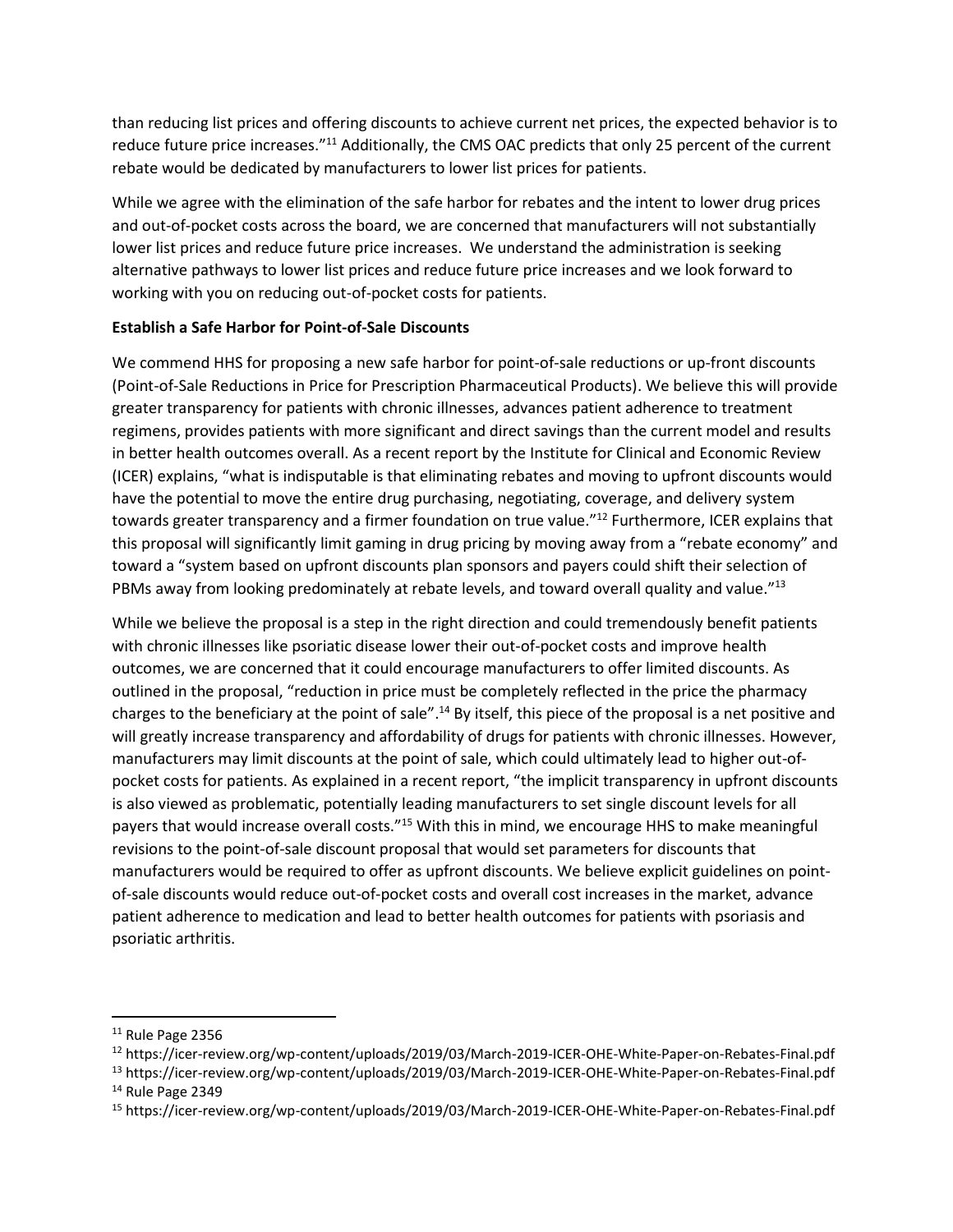than reducing list prices and offering discounts to achieve current net prices, the expected behavior is to reduce future price increases."<sup>11</sup> Additionally, the CMS OAC predicts that only 25 percent of the current rebate would be dedicated by manufacturers to lower list prices for patients.

While we agree with the elimination of the safe harbor for rebates and the intent to lower drug prices and out-of-pocket costs across the board, we are concerned that manufacturers will not substantially lower list prices and reduce future price increases. We understand the administration is seeking alternative pathways to lower list prices and reduce future price increases and we look forward to working with you on reducing out-of-pocket costs for patients.

# **Establish a Safe Harbor for Point-of-Sale Discounts**

We commend HHS for proposing a new safe harbor for point-of-sale reductions or up-front discounts (Point-of-Sale Reductions in Price for Prescription Pharmaceutical Products). We believe this will provide greater transparency for patients with chronic illnesses, advances patient adherence to treatment regimens, provides patients with more significant and direct savings than the current model and results in better health outcomes overall. As a recent report by the Institute for Clinical and Economic Review (ICER) explains, "what is indisputable is that eliminating rebates and moving to upfront discounts would have the potential to move the entire drug purchasing, negotiating, coverage, and delivery system towards greater transparency and a firmer foundation on true value."<sup>12</sup> Furthermore, ICER explains that this proposal will significantly limit gaming in drug pricing by moving away from a "rebate economy" and toward a "system based on upfront discounts plan sponsors and payers could shift their selection of PBMs away from looking predominately at rebate levels, and toward overall quality and value."<sup>13</sup>

While we believe the proposal is a step in the right direction and could tremendously benefit patients with chronic illnesses like psoriatic disease lower their out-of-pocket costs and improve health outcomes, we are concerned that it could encourage manufacturers to offer limited discounts. As outlined in the proposal, "reduction in price must be completely reflected in the price the pharmacy charges to the beneficiary at the point of sale".<sup>14</sup> By itself, this piece of the proposal is a net positive and will greatly increase transparency and affordability of drugs for patients with chronic illnesses. However, manufacturers may limit discounts at the point of sale, which could ultimately lead to higher out-ofpocket costs for patients. As explained in a recent report, "the implicit transparency in upfront discounts is also viewed as problematic, potentially leading manufacturers to set single discount levels for all payers that would increase overall costs."<sup>15</sup> With this in mind, we encourage HHS to make meaningful revisions to the point-of-sale discount proposal that would set parameters for discounts that manufacturers would be required to offer as upfront discounts. We believe explicit guidelines on pointof-sale discounts would reduce out-of-pocket costs and overall cost increases in the market, advance patient adherence to medication and lead to better health outcomes for patients with psoriasis and psoriatic arthritis.

 $\overline{\phantom{a}}$ 

 $11$  Rule Page 2356

<sup>12</sup> https://icer-review.org/wp-content/uploads/2019/03/March-2019-ICER-OHE-White-Paper-on-Rebates-Final.pdf

<sup>13</sup> https://icer-review.org/wp-content/uploads/2019/03/March-2019-ICER-OHE-White-Paper-on-Rebates-Final.pdf <sup>14</sup> Rule Page 2349

<sup>15</sup> https://icer-review.org/wp-content/uploads/2019/03/March-2019-ICER-OHE-White-Paper-on-Rebates-Final.pdf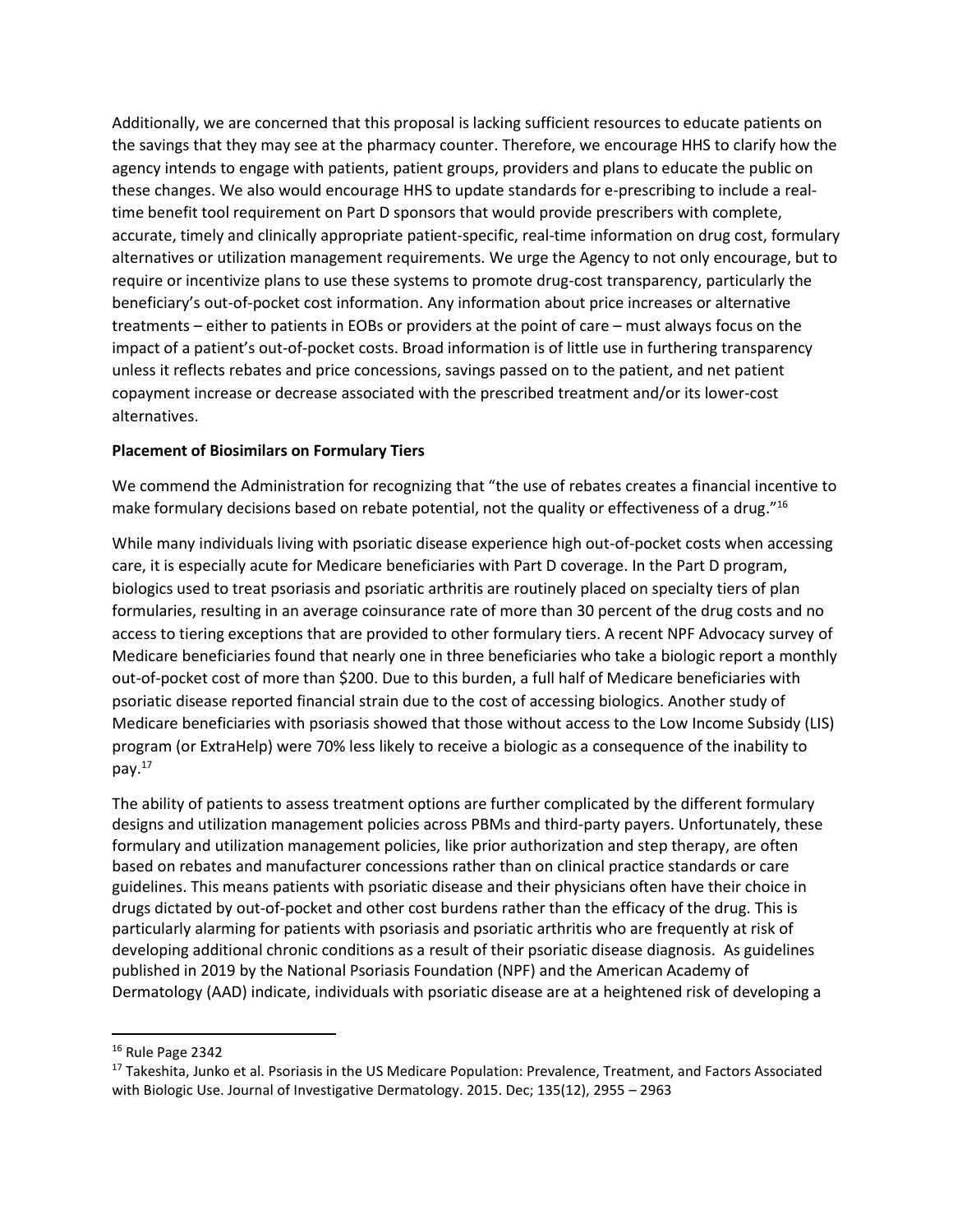Additionally, we are concerned that this proposal is lacking sufficient resources to educate patients on the savings that they may see at the pharmacy counter. Therefore, we encourage HHS to clarify how the agency intends to engage with patients, patient groups, providers and plans to educate the public on these changes. We also would encourage HHS to update standards for e-prescribing to include a realtime benefit tool requirement on Part D sponsors that would provide prescribers with complete, accurate, timely and clinically appropriate patient-specific, real-time information on drug cost, formulary alternatives or utilization management requirements. We urge the Agency to not only encourage, but to require or incentivize plans to use these systems to promote drug-cost transparency, particularly the beneficiary's out-of-pocket cost information. Any information about price increases or alternative treatments – either to patients in EOBs or providers at the point of care – must always focus on the impact of a patient's out-of-pocket costs. Broad information is of little use in furthering transparency unless it reflects rebates and price concessions, savings passed on to the patient, and net patient copayment increase or decrease associated with the prescribed treatment and/or its lower-cost alternatives.

# **Placement of Biosimilars on Formulary Tiers**

We commend the Administration for recognizing that "the use of rebates creates a financial incentive to make formulary decisions based on rebate potential, not the quality or effectiveness of a drug."<sup>16</sup>

While many individuals living with psoriatic disease experience high out-of-pocket costs when accessing care, it is especially acute for Medicare beneficiaries with Part D coverage. In the Part D program, biologics used to treat psoriasis and psoriatic arthritis are routinely placed on specialty tiers of plan formularies, resulting in an average coinsurance rate of more than 30 percent of the drug costs and no access to tiering exceptions that are provided to other formulary tiers. A recent NPF Advocacy survey of Medicare beneficiaries found that nearly one in three beneficiaries who take a biologic report a monthly out-of-pocket cost of more than \$200. Due to this burden, a full half of Medicare beneficiaries with psoriatic disease reported financial strain due to the cost of accessing biologics. Another study of Medicare beneficiaries with psoriasis showed that those without access to the Low Income Subsidy (LIS) program (or ExtraHelp) were 70% less likely to receive a biologic as a consequence of the inability to pay.<sup>17</sup>

The ability of patients to assess treatment options are further complicated by the different formulary designs and utilization management policies across PBMs and third-party payers. Unfortunately, these formulary and utilization management policies, like prior authorization and step therapy, are often based on rebates and manufacturer concessions rather than on clinical practice standards or care guidelines. This means patients with psoriatic disease and their physicians often have their choice in drugs dictated by out-of-pocket and other cost burdens rather than the efficacy of the drug. This is particularly alarming for patients with psoriasis and psoriatic arthritis who are frequently at risk of developing additional chronic conditions as a result of their psoriatic disease diagnosis. As guidelines published in 2019 by the National Psoriasis Foundation (NPF) and the American Academy of Dermatology (AAD) indicate, individuals with psoriatic disease are at a heightened risk of developing a

 $\overline{a}$ 

<sup>16</sup> Rule Page 2342

<sup>&</sup>lt;sup>17</sup> Takeshita, Junko et al. Psoriasis in the US Medicare Population: Prevalence, Treatment, and Factors Associated with Biologic Use. Journal of Investigative Dermatology. 2015. Dec; 135(12), 2955 – 2963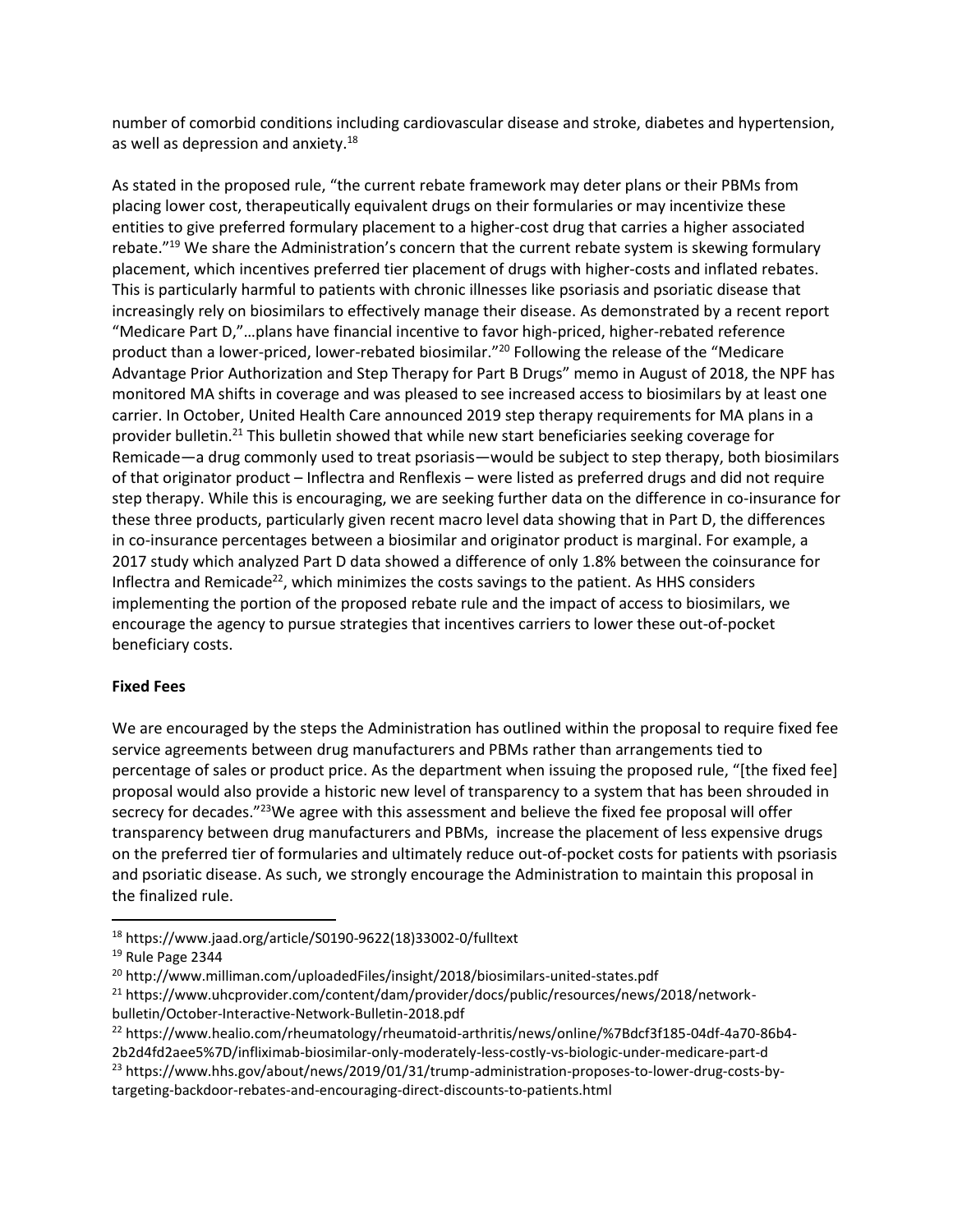number of comorbid conditions including cardiovascular disease and stroke, diabetes and hypertension, as well as depression and anxiety.<sup>18</sup>

As stated in the proposed rule, "the current rebate framework may deter plans or their PBMs from placing lower cost, therapeutically equivalent drugs on their formularies or may incentivize these entities to give preferred formulary placement to a higher-cost drug that carries a higher associated rebate."<sup>19</sup> We share the Administration's concern that the current rebate system is skewing formulary placement, which incentives preferred tier placement of drugs with higher-costs and inflated rebates. This is particularly harmful to patients with chronic illnesses like psoriasis and psoriatic disease that increasingly rely on biosimilars to effectively manage their disease. As demonstrated by a recent report "Medicare Part D,"…plans have financial incentive to favor high-priced, higher-rebated reference product than a lower-priced, lower-rebated biosimilar."<sup>20</sup> Following the release of the "Medicare Advantage Prior Authorization and Step Therapy for Part B Drugs" memo in August of 2018, the NPF has monitored MA shifts in coverage and was pleased to see increased access to biosimilars by at least one carrier. In October, United Health Care announced 2019 step therapy requirements for MA plans in a provider bulletin.<sup>21</sup> This bulletin showed that while new start beneficiaries seeking coverage for Remicade—a drug commonly used to treat psoriasis—would be subject to step therapy, both biosimilars of that originator product – Inflectra and Renflexis – were listed as preferred drugs and did not require step therapy. While this is encouraging, we are seeking further data on the difference in co-insurance for these three products, particularly given recent macro level data showing that in Part D, the differences in co-insurance percentages between a biosimilar and originator product is marginal. For example, a 2017 study which analyzed Part D data showed a difference of only 1.8% between the coinsurance for Inflectra and Remicade<sup>22</sup>, which minimizes the costs savings to the patient. As HHS considers implementing the portion of the proposed rebate rule and the impact of access to biosimilars, we encourage the agency to pursue strategies that incentives carriers to lower these out-of-pocket beneficiary costs.

### **Fixed Fees**

We are encouraged by the steps the Administration has outlined within the proposal to require fixed fee service agreements between drug manufacturers and PBMs rather than arrangements tied to percentage of sales or product price. As the department when issuing the proposed rule, "[the fixed fee] proposal would also provide a historic new level of transparency to a system that has been shrouded in secrecy for decades."<sup>23</sup>We agree with this assessment and believe the fixed fee proposal will offer transparency between drug manufacturers and PBMs, increase the placement of less expensive drugs on the preferred tier of formularies and ultimately reduce out-of-pocket costs for patients with psoriasis and psoriatic disease. As such, we strongly encourage the Administration to maintain this proposal in the finalized rule.

 $\overline{\phantom{a}}$ 

<sup>18</sup> https://www.jaad.org/article/S0190-9622(18)33002-0/fulltext

<sup>&</sup>lt;sup>19</sup> Rule Page 2344

<sup>20</sup> http://www.milliman.com/uploadedFiles/insight/2018/biosimilars-united-states.pdf

<sup>&</sup>lt;sup>21</sup> https://www.uhcprovider.com/content/dam/provider/docs/public/resources/news/2018/networkbulletin/October-Interactive-Network-Bulletin-2018.pdf

<sup>22</sup> https://www.healio.com/rheumatology/rheumatoid-arthritis/news/online/%7Bdcf3f185-04df-4a70-86b4-

<sup>2</sup>b2d4fd2aee5%7D/infliximab-biosimilar-only-moderately-less-costly-vs-biologic-under-medicare-part-d <sup>23</sup> https://www.hhs.gov/about/news/2019/01/31/trump-administration-proposes-to-lower-drug-costs-bytargeting-backdoor-rebates-and-encouraging-direct-discounts-to-patients.html